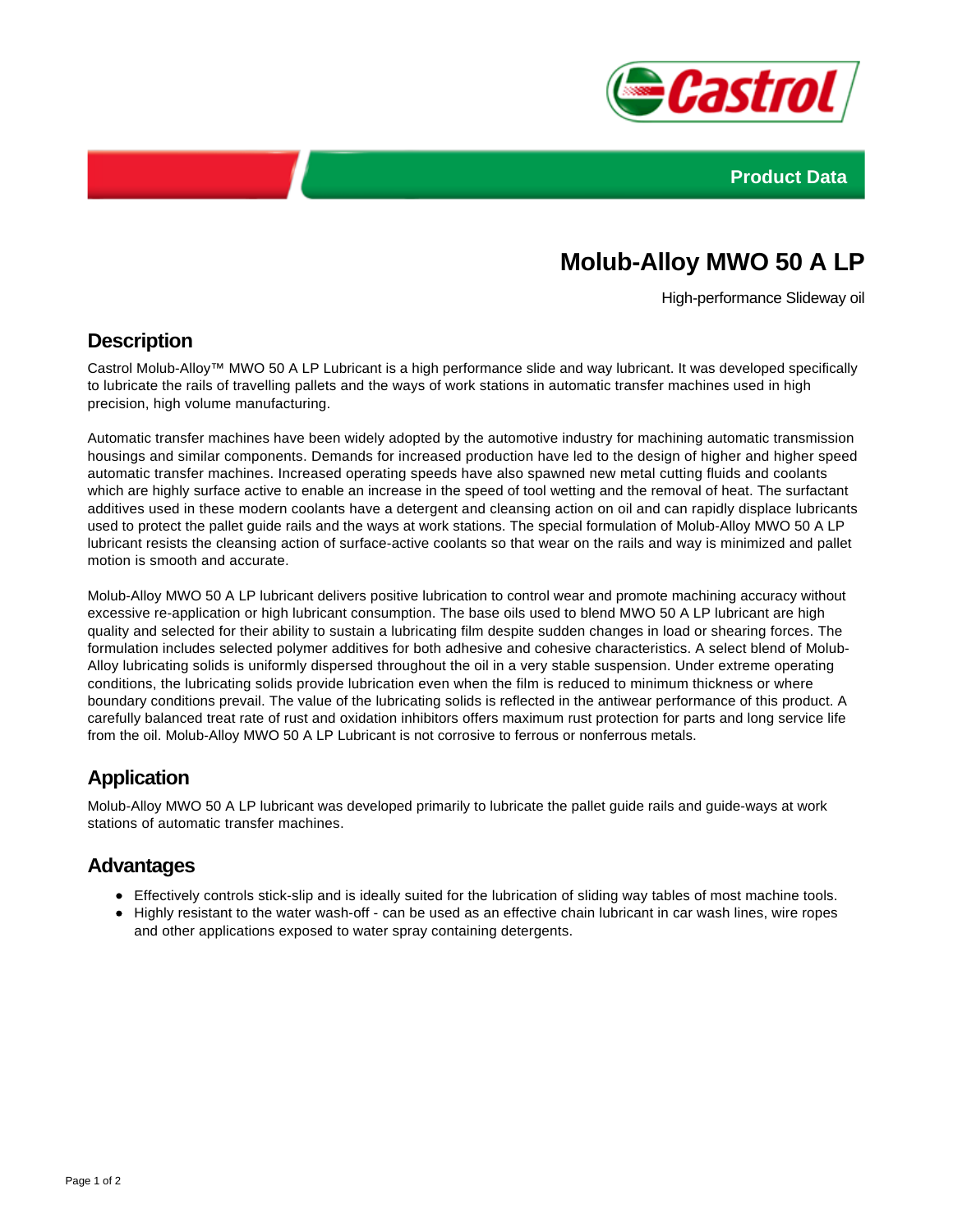



# **Molub-Alloy MWO 50 A LP**

High-performance Slideway oil

#### **Description**

Castrol Molub-Alloy™ MWO 50 A LP Lubricant is a high performance slide and way lubricant. It was developed specifically to lubricate the rails of travelling pallets and the ways of work stations in automatic transfer machines used in high precision, high volume manufacturing.

Automatic transfer machines have been widely adopted by the automotive industry for machining automatic transmission housings and similar components. Demands for increased production have led to the design of higher and higher speed automatic transfer machines. Increased operating speeds have also spawned new metal cutting fluids and coolants which are highly surface active to enable an increase in the speed of tool wetting and the removal of heat. The surfactant additives used in these modern coolants have a detergent and cleansing action on oil and can rapidly displace lubricants used to protect the pallet guide rails and the ways at work stations. The special formulation of Molub-Alloy MWO 50 A LP lubricant resists the cleansing action of surface-active coolants so that wear on the rails and way is minimized and pallet motion is smooth and accurate.

Molub-Alloy MWO 50 A LP lubricant delivers positive lubrication to control wear and promote machining accuracy without excessive re-application or high lubricant consumption. The base oils used to blend MWO 50 A LP lubricant are high quality and selected for their ability to sustain a lubricating film despite sudden changes in load or shearing forces. The formulation includes selected polymer additives for both adhesive and cohesive characteristics. A select blend of Molub-Alloy lubricating solids is uniformly dispersed throughout the oil in a very stable suspension. Under extreme operating conditions, the lubricating solids provide lubrication even when the film is reduced to minimum thickness or where boundary conditions prevail. The value of the lubricating solids is reflected in the antiwear performance of this product. A carefully balanced treat rate of rust and oxidation inhibitors offers maximum rust protection for parts and long service life from the oil. Molub-Alloy MWO 50 A LP Lubricant is not corrosive to ferrous or nonferrous metals.

## **Application**

Molub-Alloy MWO 50 A LP lubricant was developed primarily to lubricate the pallet guide rails and guide-ways at work stations of automatic transfer machines.

#### **Advantages**

- Effectively controls stick-slip and is ideally suited for the lubrication of sliding way tables of most machine tools.
- Highly resistant to the water wash-off can be used as an effective chain lubricant in car wash lines, wire ropes and other applications exposed to water spray containing detergents.